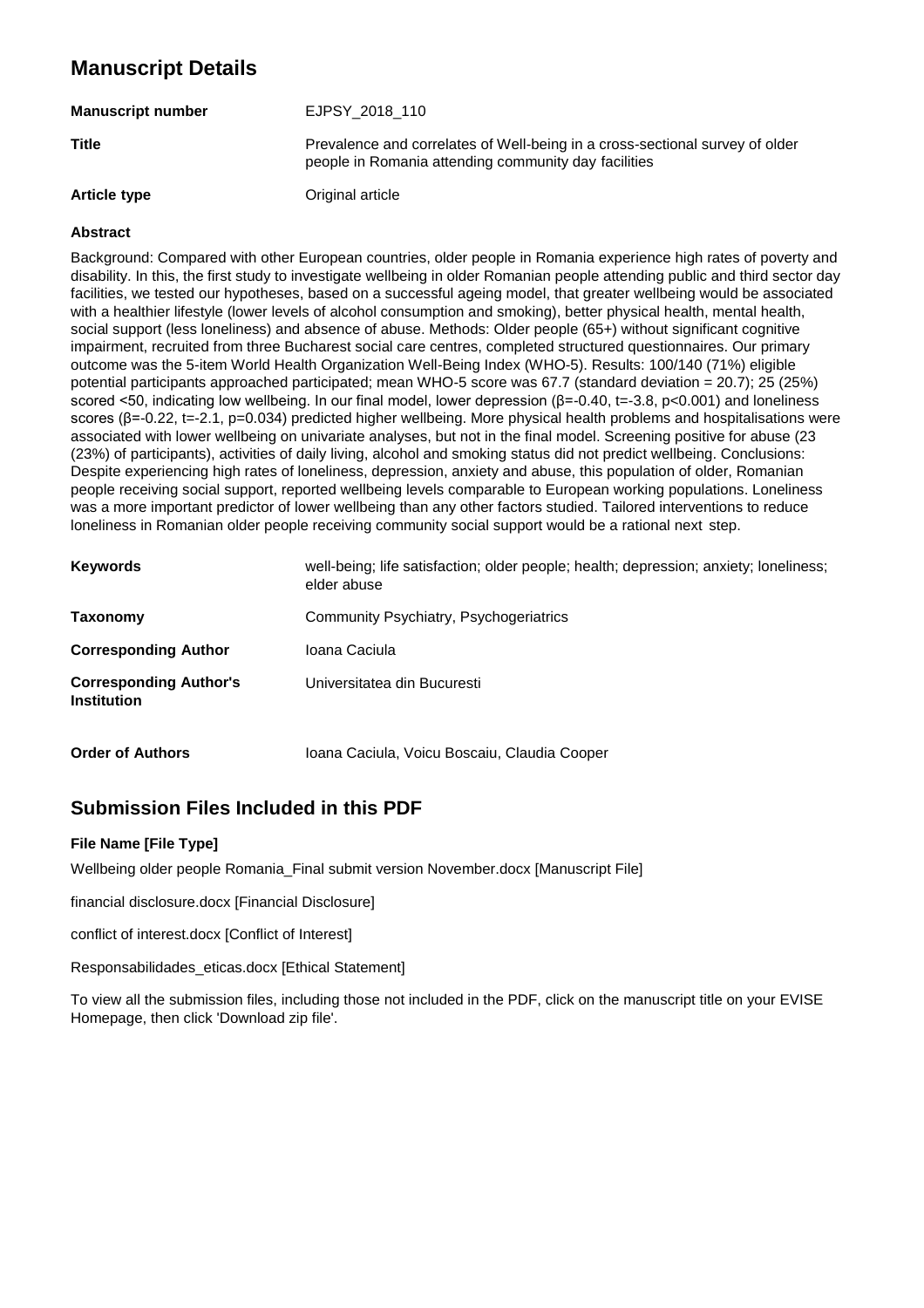# **Manuscript Details**

| <b>Manuscript number</b> | EJPSY 2018 110                                                                                                                       |
|--------------------------|--------------------------------------------------------------------------------------------------------------------------------------|
| <b>Title</b>             | Prevalence and correlates of Well-being in a cross-sectional survey of older<br>people in Romania attending community day facilities |
| <b>Article type</b>      | Original article                                                                                                                     |

#### **Abstract**

Background: Compared with other European countries, older people in Romania experience high rates of poverty and disability. In this, the first study to investigate wellbeing in older Romanian people attending public and third sector day facilities, we tested our hypotheses, based on a successful ageing model, that greater wellbeing would be associated with a healthier lifestyle (lower levels of alcohol consumption and smoking), better physical health, mental health, social support (less loneliness) and absence of abuse. Methods: Older people (65+) without significant cognitive impairment, recruited from three Bucharest social care centres, completed structured questionnaires. Our primary outcome was the 5-item World Health Organization Well-Being Index (WHO-5). Results: 100/140 (71%) eligible potential participants approached participated; mean WHO-5 score was 67.7 (standard deviation = 20.7); 25 (25%) scored <50, indicating low wellbeing. In our final model, lower depression (β=-0.40, t=-3.8, p<0.001) and loneliness scores (β=-0.22, t=-2.1, p=0.034) predicted higher wellbeing. More physical health problems and hospitalisations were associated with lower wellbeing on univariate analyses, but not in the final model. Screening positive for abuse (23 (23%) of participants), activities of daily living, alcohol and smoking status did not predict wellbeing. Conclusions: Despite experiencing high rates of loneliness, depression, anxiety and abuse, this population of older, Romanian people receiving social support, reported wellbeing levels comparable to European working populations. Loneliness was a more important predictor of lower wellbeing than any other factors studied. Tailored interventions to reduce loneliness in Romanian older people receiving community social support would be a rational next step.

| <b>Keywords</b>                                     | well-being; life satisfaction; older people; health; depression; anxiety; loneliness;<br>elder abuse |
|-----------------------------------------------------|------------------------------------------------------------------------------------------------------|
| Taxonomy                                            | Community Psychiatry, Psychogeriatrics                                                               |
| <b>Corresponding Author</b>                         | Ioana Caciula                                                                                        |
| <b>Corresponding Author's</b><br><b>Institution</b> | Universitatea din Bucuresti                                                                          |
| <b>Order of Authors</b>                             | Ioana Caciula, Voicu Boscaiu, Claudia Cooper                                                         |

# **Submission Files Included in this PDF**

#### **File Name [File Type]**

Wellbeing older people Romania\_Final submit version November.docx [Manuscript File]

financial disclosure.docx [Financial Disclosure]

conflict of interest.docx [Conflict of Interest]

Responsabilidades\_eticas.docx [Ethical Statement]

To view all the submission files, including those not included in the PDF, click on the manuscript title on your EVISE Homepage, then click 'Download zip file'.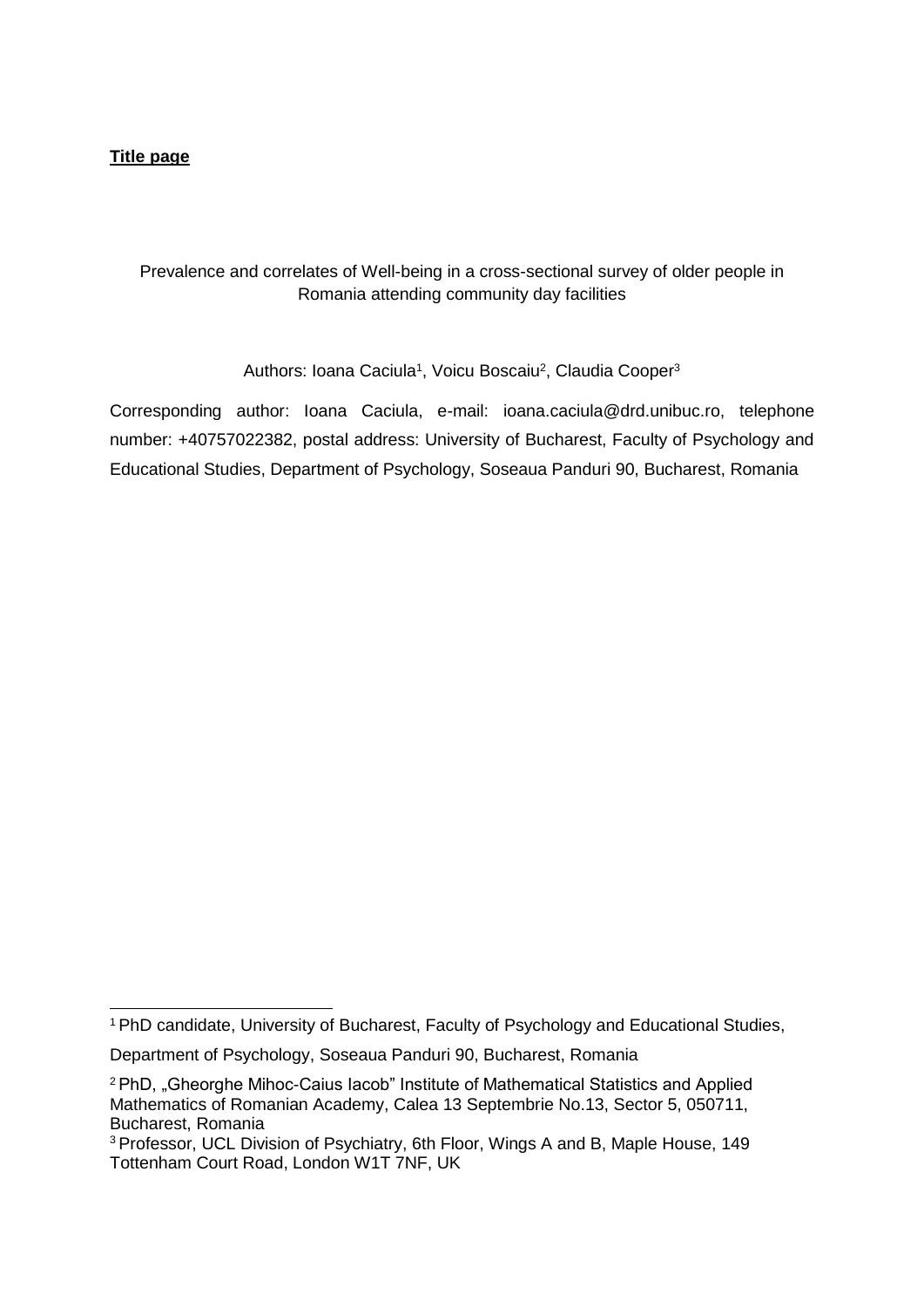## **Title page**

# Prevalence and correlates of Well-being in a cross-sectional survey of older people in Romania attending community day facilities

Authors: Ioana Caciula<sup>1</sup>, Voicu Boscaiu<sup>2</sup>, Claudia Cooper<sup>3</sup>

Corresponding author: Ioana Caciula, e-mail: [ioana.caciula@drd.unibuc.ro,](mailto:ioana.caciula@drd.unibuc.ro) telephone number: +40757022382, postal address: University of Bucharest, Faculty of Psychology and Educational Studies, Department of Psychology, Soseaua Panduri 90, Bucharest, Romania

<sup>&</sup>lt;sup>1</sup> PhD candidate, University of Bucharest, Faculty of Psychology and Educational Studies,

Department of Psychology, Soseaua Panduri 90, Bucharest, Romania

<sup>&</sup>lt;sup>2</sup> PhD, "Gheorghe Mihoc-Caius Iacob" Institute of Mathematical Statistics and Applied Mathematics of Romanian Academy, Calea 13 Septembrie No.13, Sector 5, 050711, Bucharest, Romania

<sup>3</sup>Professor, UCL Division of Psychiatry, 6th Floor, Wings A and B, Maple House, 149 Tottenham Court Road, London W1T 7NF, UK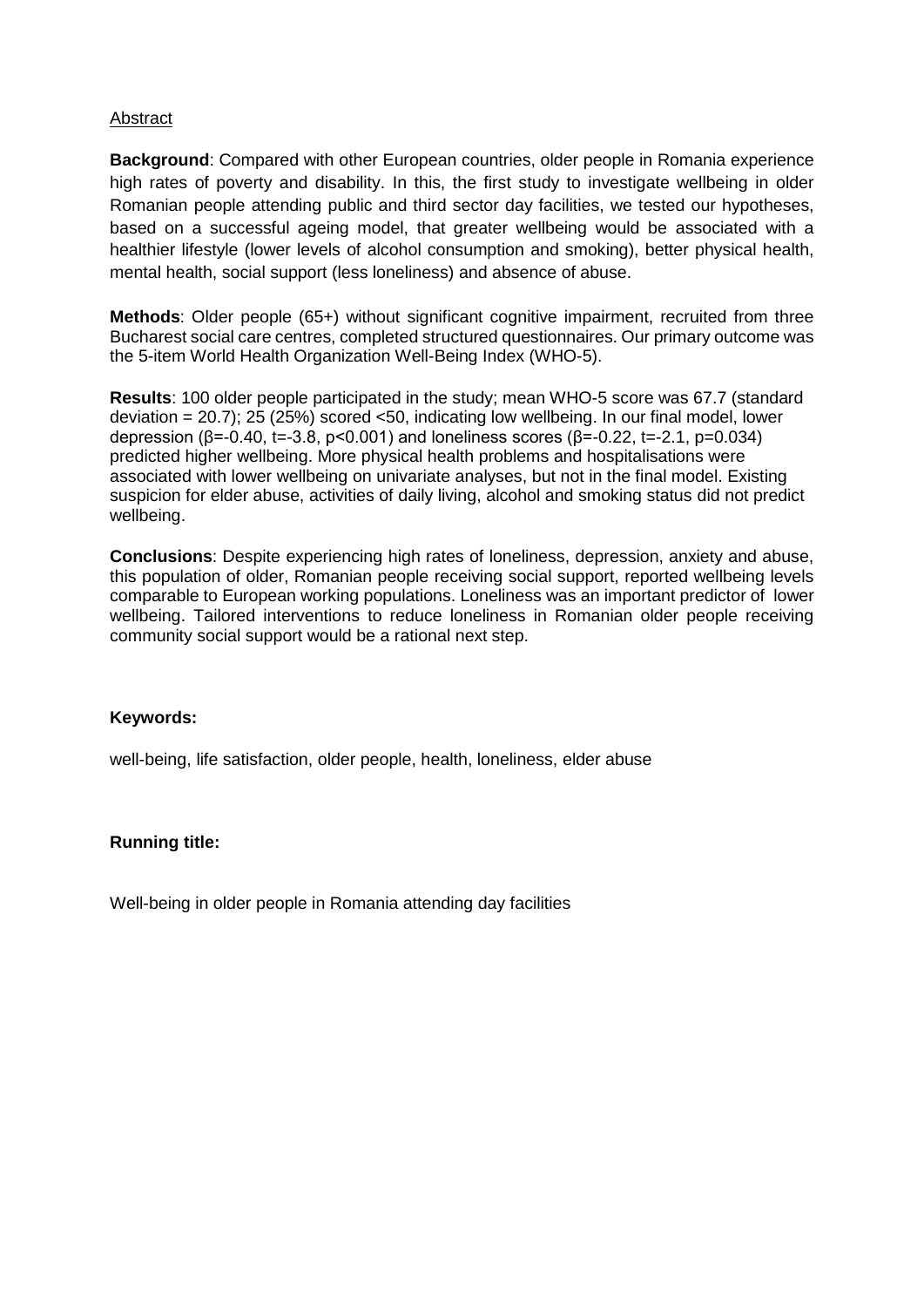## Abstract

**Background**: Compared with other European countries, older people in Romania experience high rates of poverty and disability. In this, the first study to investigate wellbeing in older Romanian people attending public and third sector day facilities, we tested our hypotheses, based on a successful ageing model, that greater wellbeing would be associated with a healthier lifestyle (lower levels of alcohol consumption and smoking), better physical health, mental health, social support (less loneliness) and absence of abuse.

**Methods**: Older people (65+) without significant cognitive impairment, recruited from three Bucharest social care centres, completed structured questionnaires. Our primary outcome was the 5-item World Health Organization Well-Being Index (WHO-5).

**Results**: 100 older people participated in the study; mean WHO-5 score was 67.7 (standard deviation = 20.7); 25 (25%) scored <50, indicating low wellbeing. In our final model, lower depression (β=-0.40, t=-3.8, p<0.001) and loneliness scores (β=-0.22, t=-2.1, p=0.034) predicted higher wellbeing. More physical health problems and hospitalisations were associated with lower wellbeing on univariate analyses, but not in the final model. Existing suspicion for elder abuse, activities of daily living, alcohol and smoking status did not predict wellbeing.

**Conclusions**: Despite experiencing high rates of loneliness, depression, anxiety and abuse, this population of older, Romanian people receiving social support, reported wellbeing levels comparable to European working populations. Loneliness was an important predictor of lower wellbeing. Tailored interventions to reduce loneliness in Romanian older people receiving community social support would be a rational next step.

### **Keywords:**

well-being, life satisfaction, older people, health, loneliness, elder abuse

### **Running title:**

Well-being in older people in Romania attending day facilities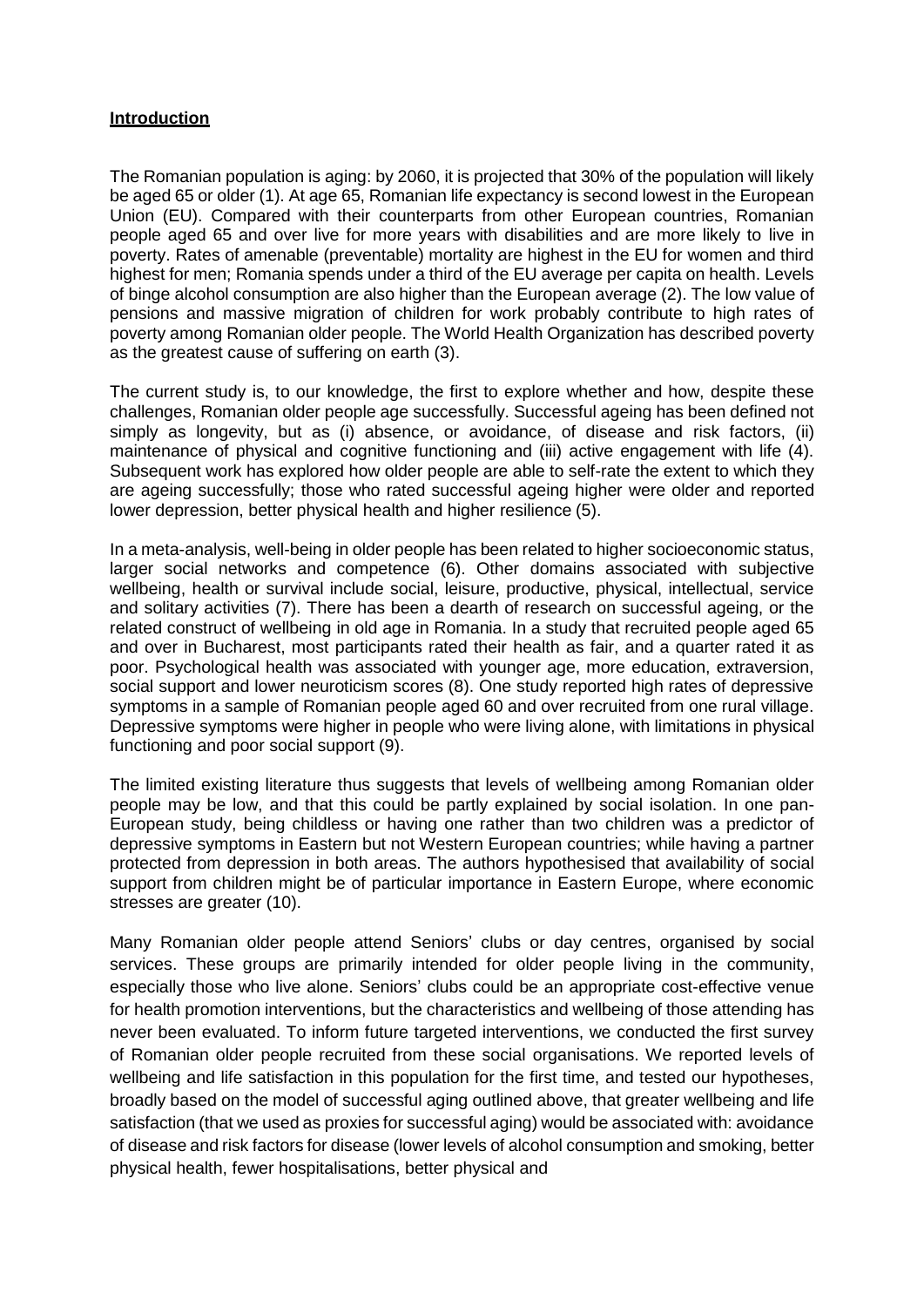#### **Introduction**

The Romanian population is aging: by 2060, it is projected that 30% of the population will likely be aged 65 or older (1). At age 65, Romanian life expectancy is second lowest in the European Union (EU). Compared with their counterparts from other European countries, Romanian people aged 65 and over live for more years with disabilities and are more likely to live in poverty. Rates of amenable (preventable) mortality are highest in the EU for women and third highest for men; Romania spends under a third of the EU average per capita on health. Levels of binge alcohol consumption are also higher than the European average (2). The low value of pensions and massive migration of children for work probably contribute to high rates of poverty among Romanian older people. The World Health Organization has described poverty as the greatest cause of suffering on earth (3).

The current study is, to our knowledge, the first to explore whether and how, despite these challenges, Romanian older people age successfully. Successful ageing has been defined not simply as longevity, but as (i) absence, or avoidance, of disease and risk factors, (ii) maintenance of physical and cognitive functioning and (iii) active engagement with life (4). Subsequent work has explored how older people are able to self-rate the extent to which they are ageing successfully; those who rated successful ageing higher were older and reported lower depression, better physical health and higher resilience (5).

In a meta-analysis, well-being in older people has been related to higher socioeconomic status, larger social networks and competence (6). Other domains associated with subjective wellbeing, health or survival include social, leisure, productive, physical, intellectual, service and solitary activities (7). There has been a dearth of research on successful ageing, or the related construct of wellbeing in old age in Romania. In a study that recruited people aged 65 and over in Bucharest, most participants rated their health as fair, and a quarter rated it as poor. Psychological health was associated with younger age, more education, extraversion, social support and lower neuroticism scores (8). One study reported high rates of depressive symptoms in a sample of Romanian people aged 60 and over recruited from one rural village. Depressive symptoms were higher in people who were living alone, with limitations in physical functioning and poor social support (9).

The limited existing literature thus suggests that levels of wellbeing among Romanian older people may be low, and that this could be partly explained by social isolation. In one pan-European study, being childless or having one rather than two children was a predictor of depressive symptoms in Eastern but not Western European countries; while having a partner protected from depression in both areas. The authors hypothesised that availability of social support from children might be of particular importance in Eastern Europe, where economic stresses are greater (10).

Many Romanian older people attend Seniors' clubs or day centres, organised by social services. These groups are primarily intended for older people living in the community, especially those who live alone. Seniors' clubs could be an appropriate cost-effective venue for health promotion interventions, but the characteristics and wellbeing of those attending has never been evaluated. To inform future targeted interventions, we conducted the first survey of Romanian older people recruited from these social organisations. We reported levels of wellbeing and life satisfaction in this population for the first time, and tested our hypotheses, broadly based on the model of successful aging outlined above, that greater wellbeing and life satisfaction (that we used as proxies for successful aging) would be associated with: avoidance of disease and risk factors for disease (lower levels of alcohol consumption and smoking, better physical health, fewer hospitalisations, better physical and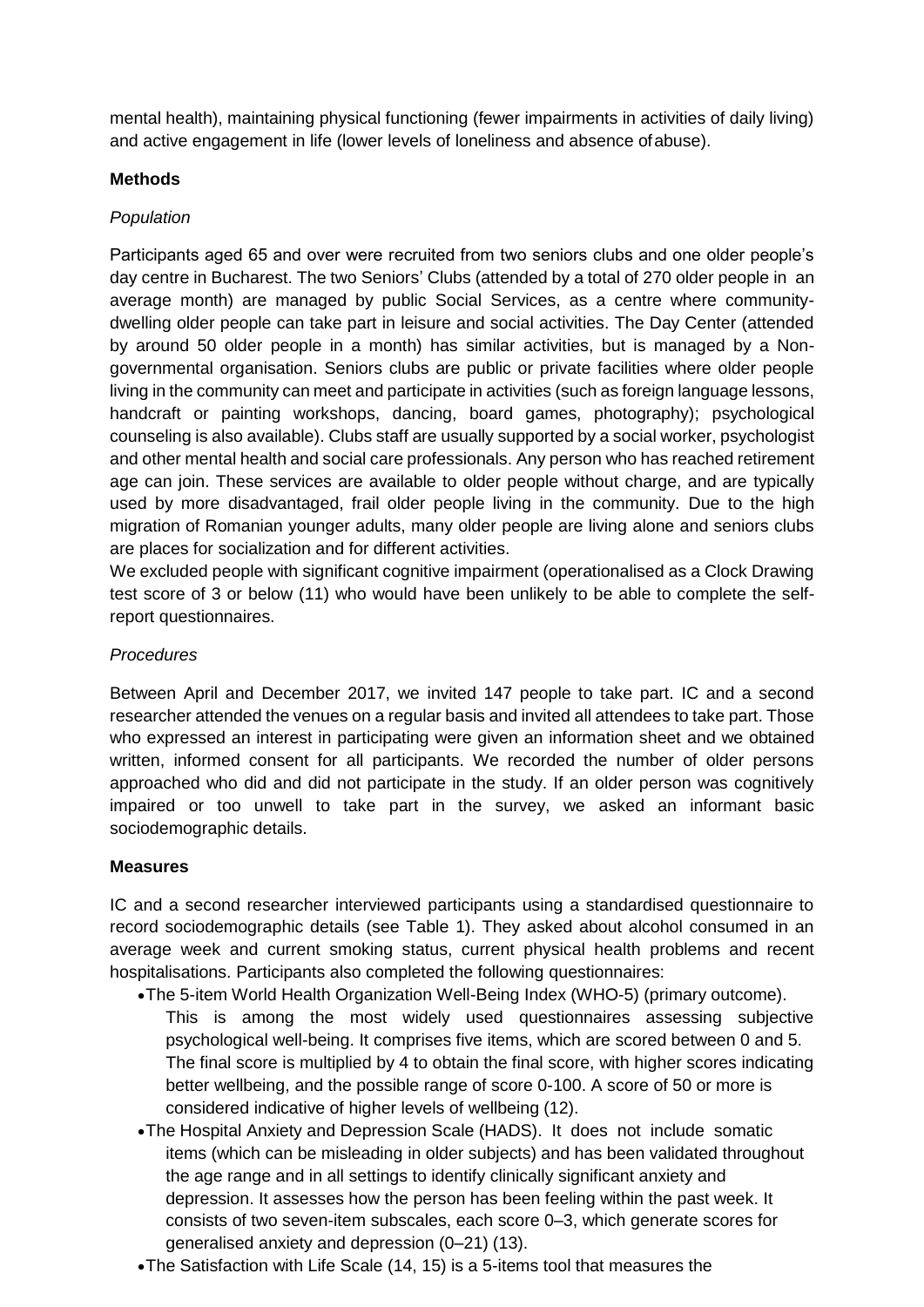mental health), maintaining physical functioning (fewer impairments in activities of daily living) and active engagement in life (lower levels of loneliness and absence ofabuse).

## **Methods**

## *Population*

Participants aged 65 and over were recruited from two seniors clubs and one older people's day centre in Bucharest. The two Seniors' Clubs (attended by a total of 270 older people in an average month) are managed by public Social Services, as a centre where communitydwelling older people can take part in leisure and social activities. The Day Center (attended by around 50 older people in a month) has similar activities, but is managed by a Nongovernmental organisation. Seniors clubs are public or private facilities where older people living in the community can meet and participate in activities (such as foreign language lessons, handcraft or painting workshops, dancing, board games, photography); psychological counseling is also available). Clubs staff are usually supported by a social worker, psychologist and other mental health and social care professionals. Any person who has reached retirement age can join. These services are available to older people without charge, and are typically used by more disadvantaged, frail older people living in the community. Due to the high migration of Romanian younger adults, many older people are living alone and seniors clubs are places for socialization and for different activities.

We excluded people with significant cognitive impairment (operationalised as a Clock Drawing test score of 3 or below (11) who would have been unlikely to be able to complete the selfreport questionnaires.

## *Procedures*

Between April and December 2017, we invited 147 people to take part. IC and a second researcher attended the venues on a regular basis and invited all attendees to take part. Those who expressed an interest in participating were given an information sheet and we obtained written, informed consent for all participants. We recorded the number of older persons approached who did and did not participate in the study. If an older person was cognitively impaired or too unwell to take part in the survey, we asked an informant basic sociodemographic details.

### **Measures**

IC and a second researcher interviewed participants using a standardised questionnaire to record sociodemographic details (see Table 1). They asked about alcohol consumed in an average week and current smoking status, current physical health problems and recent hospitalisations. Participants also completed the following questionnaires:

- The 5-item World Health Organization Well-Being Index (WHO-5) (primary outcome). This is among the most widely used questionnaires assessing subjective psychological well-being. It comprises five items, which are scored between 0 and 5. The final score is multiplied by 4 to obtain the final score, with higher scores indicating better wellbeing, and the possible range of score 0-100. A score of 50 or more is considered indicative of higher levels of wellbeing (12).
- The Hospital Anxiety and Depression Scale (HADS). It does not include somatic items (which can be misleading in older subjects) and has been validated throughout the age range and in all settings to identify clinically significant anxiety and depression. It assesses how the person has been feeling within the past week. It consists of two seven-item subscales, each score 0–3, which generate scores for generalised anxiety and depression (0–21) (13).
- The Satisfaction with Life Scale (14, 15) is a 5-items tool that measures the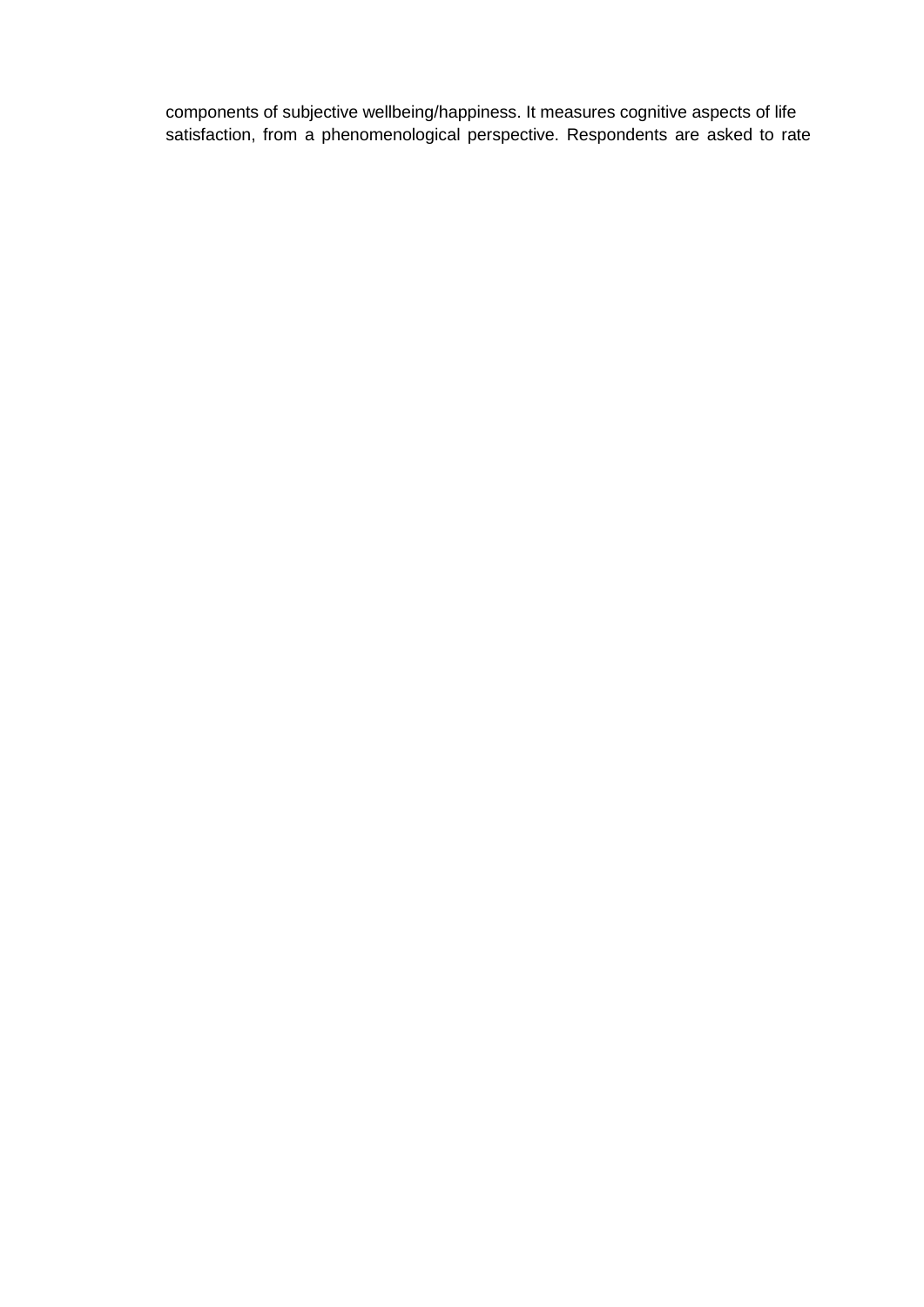components of subjective wellbeing/happiness. It measures cognitive aspects of life satisfaction, from a phenomenological perspective. Respondents are asked to rate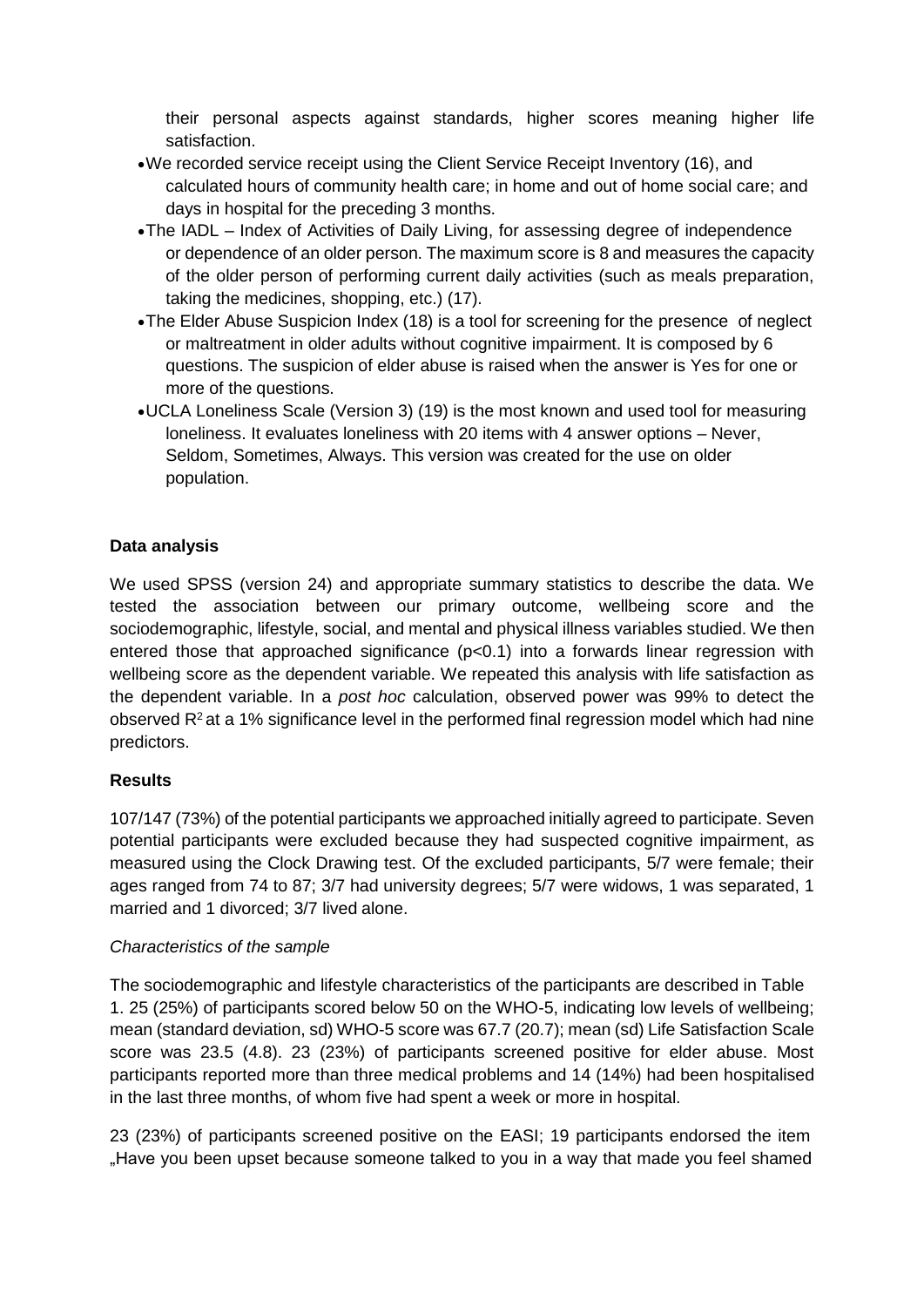their personal aspects against standards, higher scores meaning higher life satisfaction.

- We recorded service receipt using the Client Service Receipt Inventory (16), and calculated hours of community health care; in home and out of home social care; and days in hospital for the preceding 3 months.
- The IADL Index of Activities of Daily Living, for assessing degree of independence or dependence of an older person. The maximum score is 8 and measures the capacity of the older person of performing current daily activities (such as meals preparation, taking the medicines, shopping, etc.) (17).
- The Elder Abuse Suspicion Index (18) is a tool for screening for the presence of neglect or maltreatment in older adults without cognitive impairment. It is composed by 6 questions. The suspicion of elder abuse is raised when the answer is Yes for one or more of the questions.
- UCLA Loneliness Scale (Version 3) (19) is the most known and used tool for measuring loneliness. It evaluates loneliness with 20 items with 4 answer options – Never, Seldom, Sometimes, Always. This version was created for the use on older population.

## **Data analysis**

We used SPSS (version 24) and appropriate summary statistics to describe the data. We tested the association between our primary outcome, wellbeing score and the sociodemographic, lifestyle, social, and mental and physical illness variables studied. We then entered those that approached significance  $(p<0.1)$  into a forwards linear regression with wellbeing score as the dependent variable. We repeated this analysis with life satisfaction as the dependent variable. In a *post hoc* calculation, observed power was 99% to detect the observed  $R^2$  at a 1% significance level in the performed final regression model which had nine predictors.

### **Results**

107/147 (73%) of the potential participants we approached initially agreed to participate. Seven potential participants were excluded because they had suspected cognitive impairment, as measured using the Clock Drawing test. Of the excluded participants, 5/7 were female; their ages ranged from 74 to 87; 3/7 had university degrees; 5/7 were widows, 1 was separated, 1 married and 1 divorced; 3/7 lived alone.

### *Characteristics of the sample*

The sociodemographic and lifestyle characteristics of the participants are described in Table 1. 25 (25%) of participants scored below 50 on the WHO-5, indicating low levels of wellbeing; mean (standard deviation, sd) WHO-5 score was 67.7 (20.7); mean (sd) Life Satisfaction Scale score was 23.5 (4.8). 23 (23%) of participants screened positive for elder abuse. Most participants reported more than three medical problems and 14 (14%) had been hospitalised in the last three months, of whom five had spent a week or more in hospital.

23 (23%) of participants screened positive on the EASI; 19 participants endorsed the item "Have you been upset because someone talked to you in a way that made you feel shamed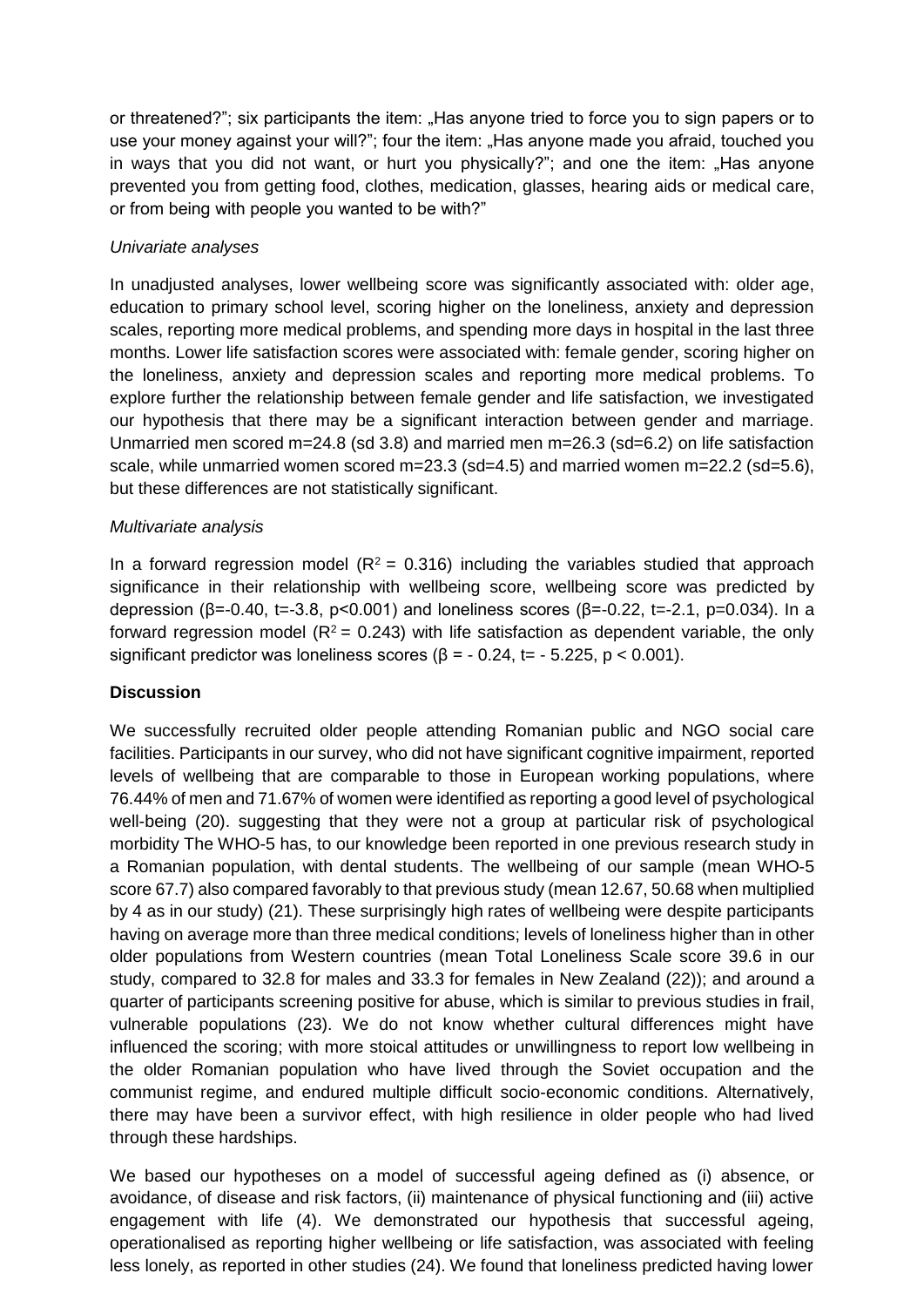or threatened?"; six participants the item: "Has anyone tried to force you to sign papers or to use your money against your will?"; four the item: "Has anyone made you afraid, touched you in ways that you did not want, or hurt you physically?"; and one the item: "Has anyone prevented you from getting food, clothes, medication, glasses, hearing aids or medical care, or from being with people you wanted to be with?"

## *Univariate analyses*

In unadjusted analyses, lower wellbeing score was significantly associated with: older age, education to primary school level, scoring higher on the loneliness, anxiety and depression scales, reporting more medical problems, and spending more days in hospital in the last three months. Lower life satisfaction scores were associated with: female gender, scoring higher on the loneliness, anxiety and depression scales and reporting more medical problems. To explore further the relationship between female gender and life satisfaction, we investigated our hypothesis that there may be a significant interaction between gender and marriage. Unmarried men scored m=24.8 (sd 3.8) and married men m=26.3 (sd=6.2) on life satisfaction scale, while unmarried women scored m=23.3 (sd=4.5) and married women m=22.2 (sd=5.6), but these differences are not statistically significant.

## *Multivariate analysis*

In a forward regression model ( $R^2 = 0.316$ ) including the variables studied that approach significance in their relationship with wellbeing score, wellbeing score was predicted by depression (β=-0.40, t=-3.8, p<0.001) and loneliness scores (β=-0.22, t=-2.1, p=0.034). In a forward regression model ( $R^2$  = 0.243) with life satisfaction as dependent variable, the only significant predictor was loneliness scores ( $\beta$  = - 0.24, t= - 5.225, p < 0.001).

## **Discussion**

We successfully recruited older people attending Romanian public and NGO social care facilities. Participants in our survey, who did not have significant cognitive impairment, reported levels of wellbeing that are comparable to those in European working populations, where 76.44% of men and 71.67% of women were identified as reporting a good level of psychological well-being (20). suggesting that they were not a group at particular risk of psychological morbidity The WHO-5 has, to our knowledge been reported in one previous research study in a Romanian population, with dental students. The wellbeing of our sample (mean WHO-5 score 67.7) also compared favorably to that previous study (mean 12.67, 50.68 when multiplied by 4 as in our study) (21). These surprisingly high rates of wellbeing were despite participants having on average more than three medical conditions; levels of loneliness higher than in other older populations from Western countries (mean Total Loneliness Scale score 39.6 in our study, compared to 32.8 for males and 33.3 for females in New Zealand (22)); and around a quarter of participants screening positive for abuse, which is similar to previous studies in frail, vulnerable populations (23). We do not know whether cultural differences might have influenced the scoring; with more stoical attitudes or unwillingness to report low wellbeing in the older Romanian population who have lived through the Soviet occupation and the communist regime, and endured multiple difficult socio-economic conditions. Alternatively, there may have been a survivor effect, with high resilience in older people who had lived through these hardships.

We based our hypotheses on a model of successful ageing defined as (i) absence, or avoidance, of disease and risk factors, (ii) maintenance of physical functioning and (iii) active engagement with life (4). We demonstrated our hypothesis that successful ageing, operationalised as reporting higher wellbeing or life satisfaction, was associated with feeling less lonely, as reported in other studies (24). We found that loneliness predicted having lower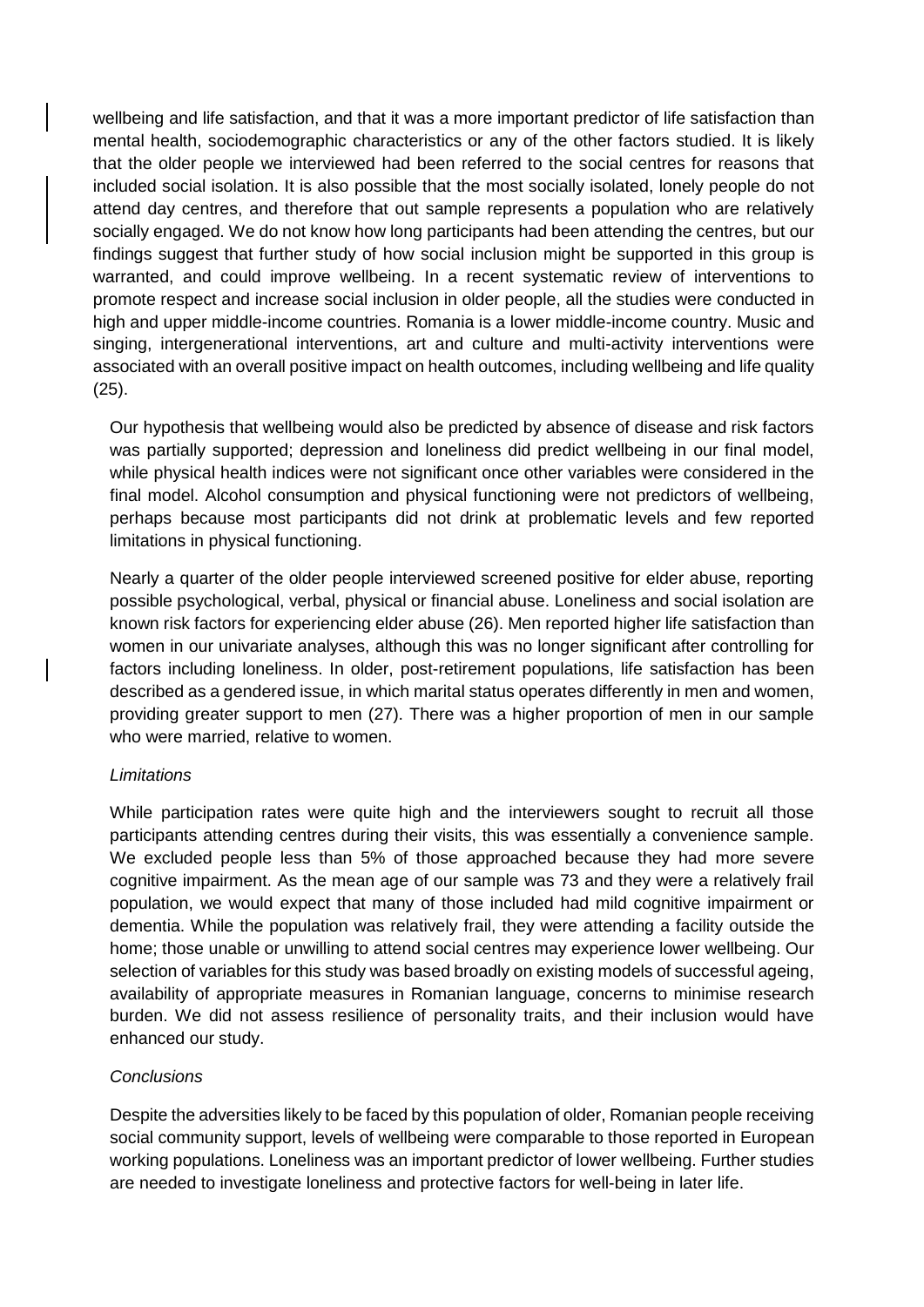wellbeing and life satisfaction, and that it was a more important predictor of life satisfaction than mental health, sociodemographic characteristics or any of the other factors studied. It is likely that the older people we interviewed had been referred to the social centres for reasons that included social isolation. It is also possible that the most socially isolated, lonely people do not attend day centres, and therefore that out sample represents a population who are relatively socially engaged. We do not know how long participants had been attending the centres, but our findings suggest that further study of how social inclusion might be supported in this group is warranted, and could improve wellbeing. In a recent systematic review of interventions to promote respect and increase social inclusion in older people, all the studies were conducted in high and upper middle-income countries. Romania is a lower middle-income country. Music and singing, intergenerational interventions, art and culture and multi-activity interventions were associated with an overall positive impact on health outcomes, including wellbeing and life quality (25).

Our hypothesis that wellbeing would also be predicted by absence of disease and risk factors was partially supported; depression and loneliness did predict wellbeing in our final model, while physical health indices were not significant once other variables were considered in the final model. Alcohol consumption and physical functioning were not predictors of wellbeing, perhaps because most participants did not drink at problematic levels and few reported limitations in physical functioning.

Nearly a quarter of the older people interviewed screened positive for elder abuse, reporting possible psychological, verbal, physical or financial abuse. Loneliness and social isolation are known risk factors for experiencing elder abuse (26). Men reported higher life satisfaction than women in our univariate analyses, although this was no longer significant after controlling for factors including loneliness. In older, post-retirement populations, life satisfaction has been described as a gendered issue, in which marital status operates differently in men and women, providing greater support to men (27). There was a higher proportion of men in our sample who were married, relative to women.

#### *Limitations*

While participation rates were quite high and the interviewers sought to recruit all those participants attending centres during their visits, this was essentially a convenience sample. We excluded people less than 5% of those approached because they had more severe cognitive impairment. As the mean age of our sample was 73 and they were a relatively frail population, we would expect that many of those included had mild cognitive impairment or dementia. While the population was relatively frail, they were attending a facility outside the home; those unable or unwilling to attend social centres may experience lower wellbeing. Our selection of variables for this study was based broadly on existing models of successful ageing, availability of appropriate measures in Romanian language, concerns to minimise research burden. We did not assess resilience of personality traits, and their inclusion would have enhanced our study.

### *Conclusions*

Despite the adversities likely to be faced by this population of older, Romanian people receiving social community support, levels of wellbeing were comparable to those reported in European working populations. Loneliness was an important predictor of lower wellbeing. Further studies are needed to investigate loneliness and protective factors for well-being in later life.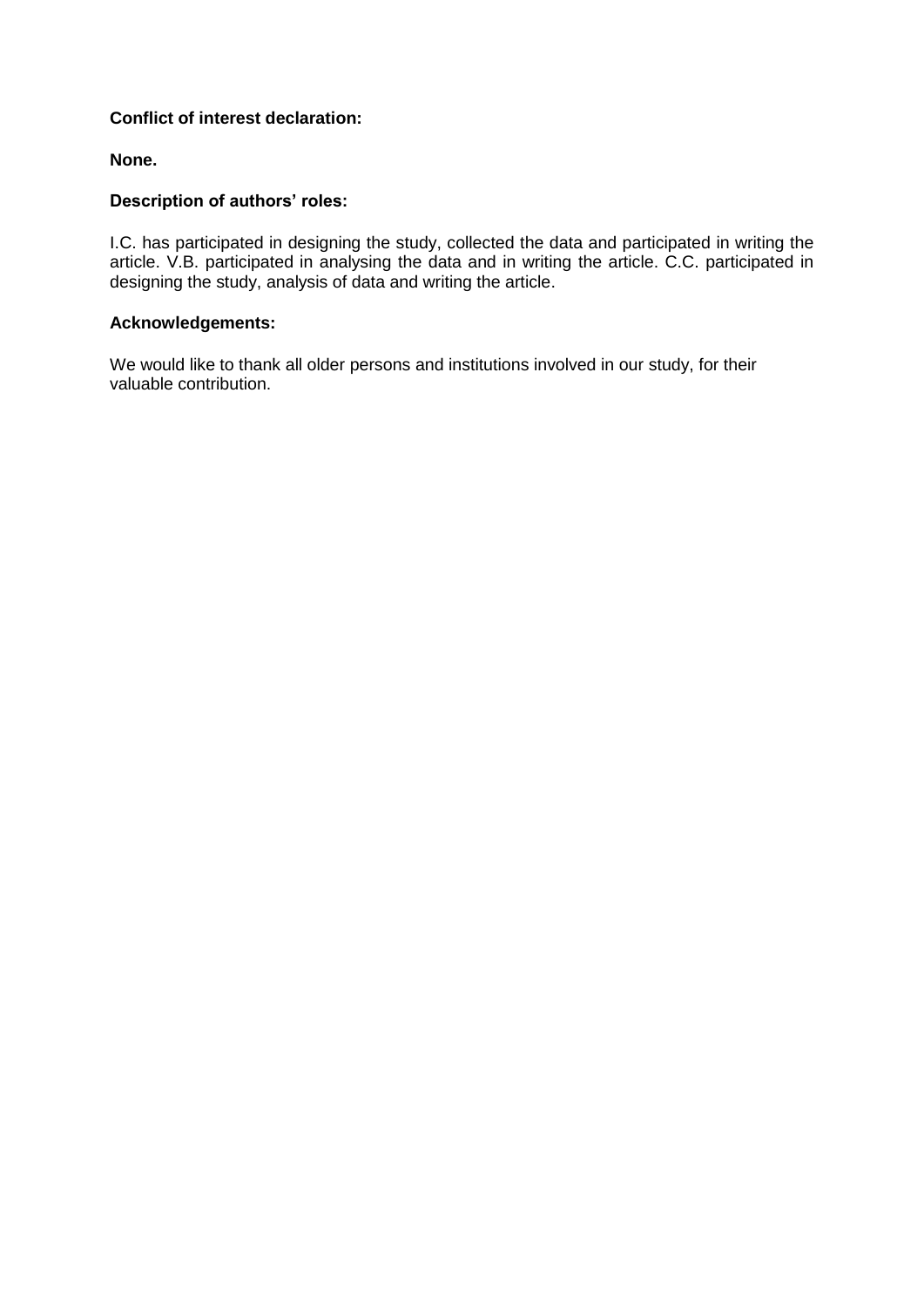## **Conflict of interest declaration:**

## **None.**

## **Description of authors' roles:**

I.C. has participated in designing the study, collected the data and participated in writing the article. V.B. participated in analysing the data and in writing the article. C.C. participated in designing the study, analysis of data and writing the article.

#### **Acknowledgements:**

We would like to thank all older persons and institutions involved in our study, for their valuable contribution.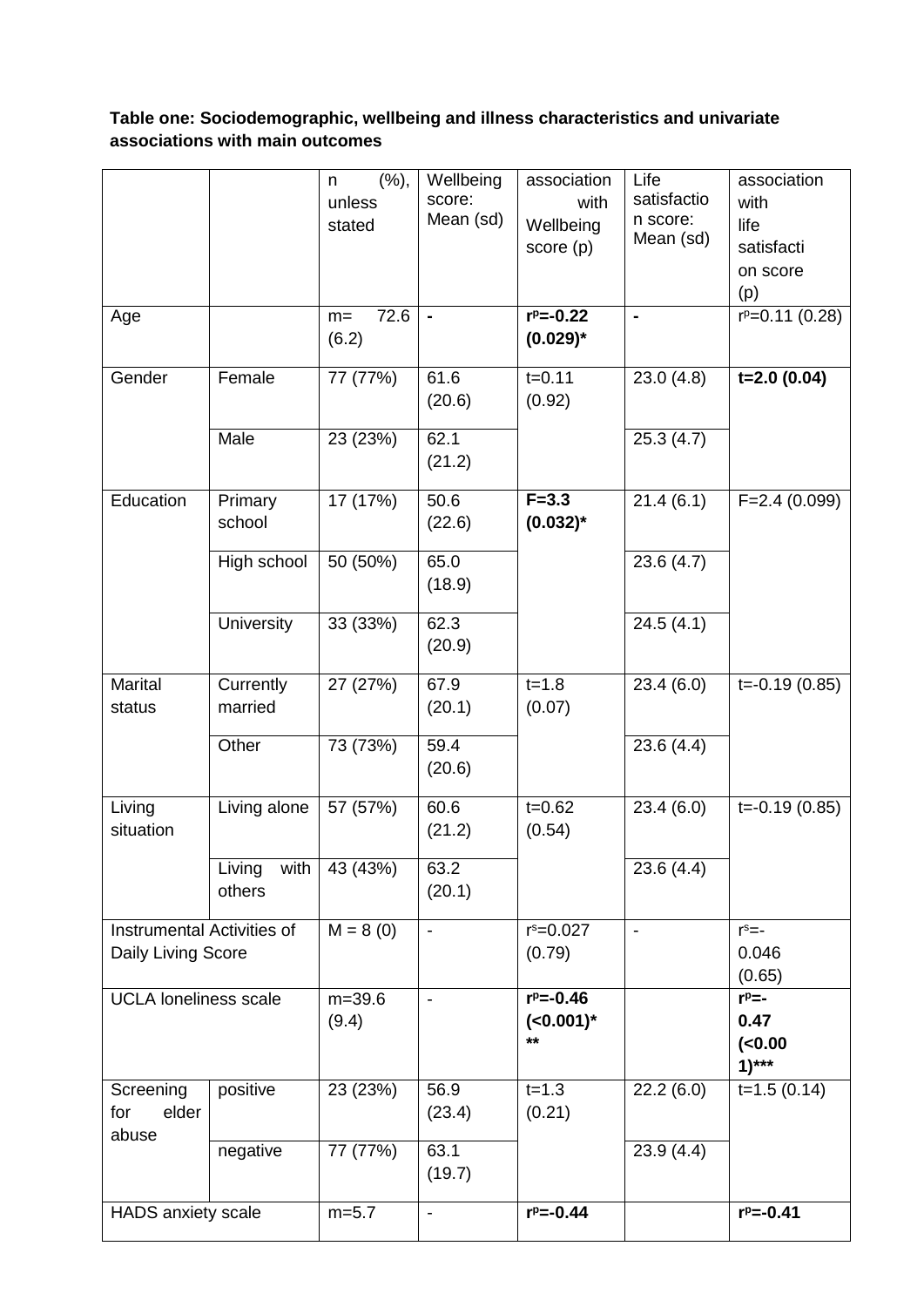# **Table one: Sociodemographic, wellbeing and illness characteristics and univariate associations with main outcomes**

|                                                  |                      | (%),<br>n<br>unless<br>stated | Wellbeing<br>score:<br>Mean (sd) | association<br>with<br>Wellbeing<br>score (p) | Life<br>satisfactio<br>n score:<br>Mean (sd) | association<br>with<br>life<br>satisfacti |
|--------------------------------------------------|----------------------|-------------------------------|----------------------------------|-----------------------------------------------|----------------------------------------------|-------------------------------------------|
|                                                  |                      |                               |                                  |                                               |                                              | on score<br>(p)                           |
| Age                                              |                      | 72.6<br>$m=$<br>(6.2)         |                                  | $r^p = -0.22$<br>$(0.029)^*$                  | $\blacksquare$                               | $r^p = 0.11$ (0.28)                       |
| Gender                                           | Female               | 77 (77%)                      | 61.6<br>(20.6)                   | $t = 0.11$<br>(0.92)                          | 23.0(4.8)                                    | $t=2.0(0.04)$                             |
|                                                  | Male                 | 23 (23%)                      | 62.1<br>(21.2)                   |                                               | 25.3(4.7)                                    |                                           |
| Education                                        | Primary<br>school    | 17 (17%)                      | 50.6<br>(22.6)                   | $F = 3.3$<br>$(0.032)$ *                      | 21.4(6.1)                                    | $F=2.4(0.099)$                            |
|                                                  | High school          | 50 (50%)                      | 65.0<br>(18.9)                   |                                               | 23.6(4.7)                                    |                                           |
|                                                  | University           | 33 (33%)                      | 62.3<br>(20.9)                   |                                               | 24.5(4.1)                                    |                                           |
| Marital<br>status                                | Currently<br>married | 27 (27%)                      | 67.9<br>(20.1)                   | $t = 1.8$<br>(0.07)                           | 23.4(6.0)                                    | $t = -0.19(0.85)$                         |
|                                                  | Other                | 73 (73%)                      | 59.4<br>(20.6)                   |                                               | 23.6(4.4)                                    |                                           |
| Living<br>situation                              | Living alone         | 57 (57%)                      | 60.6<br>(21.2)                   | $t = 0.62$<br>(0.54)                          | 23.4(6.0)                                    | $\overline{t}$ =-0.19 (0.85)              |
|                                                  | Living<br>others     | with $43(43%)$                | 63.2<br>(20.1)                   |                                               | 23.6(4.4)                                    |                                           |
| Instrumental Activities of<br>Daily Living Score |                      | $M = 8(0)$                    | $\overline{\phantom{a}}$         | $r^s = 0.027$<br>(0.79)                       | $\overline{\phantom{a}}$                     | $r^s = -$<br>0.046<br>(0.65)              |
| <b>UCLA loneliness scale</b>                     |                      | $m = 39.6$<br>(9.4)           | $\overline{\phantom{a}}$         | $r^p = -0.46$<br>$(<0.001)$ *<br>$***$        |                                              | $r^p$ =-<br>0.47<br>$(0.00)$<br>$1)***$   |
| Screening<br>elder<br>for<br>abuse               | positive             | 23 (23%)                      | 56.9<br>(23.4)                   | $t = 1.3$<br>(0.21)                           | 22.2(6.0)                                    | $t=1.5(0.14)$                             |
|                                                  | negative             | 77 (77%)                      | 63.1<br>(19.7)                   |                                               | 23.9(4.4)                                    |                                           |
| <b>HADS</b> anxiety scale                        |                      | $m=5.7$                       | $\overline{\phantom{a}}$         | $r^p = -0.44$                                 |                                              | $r^p = -0.41$                             |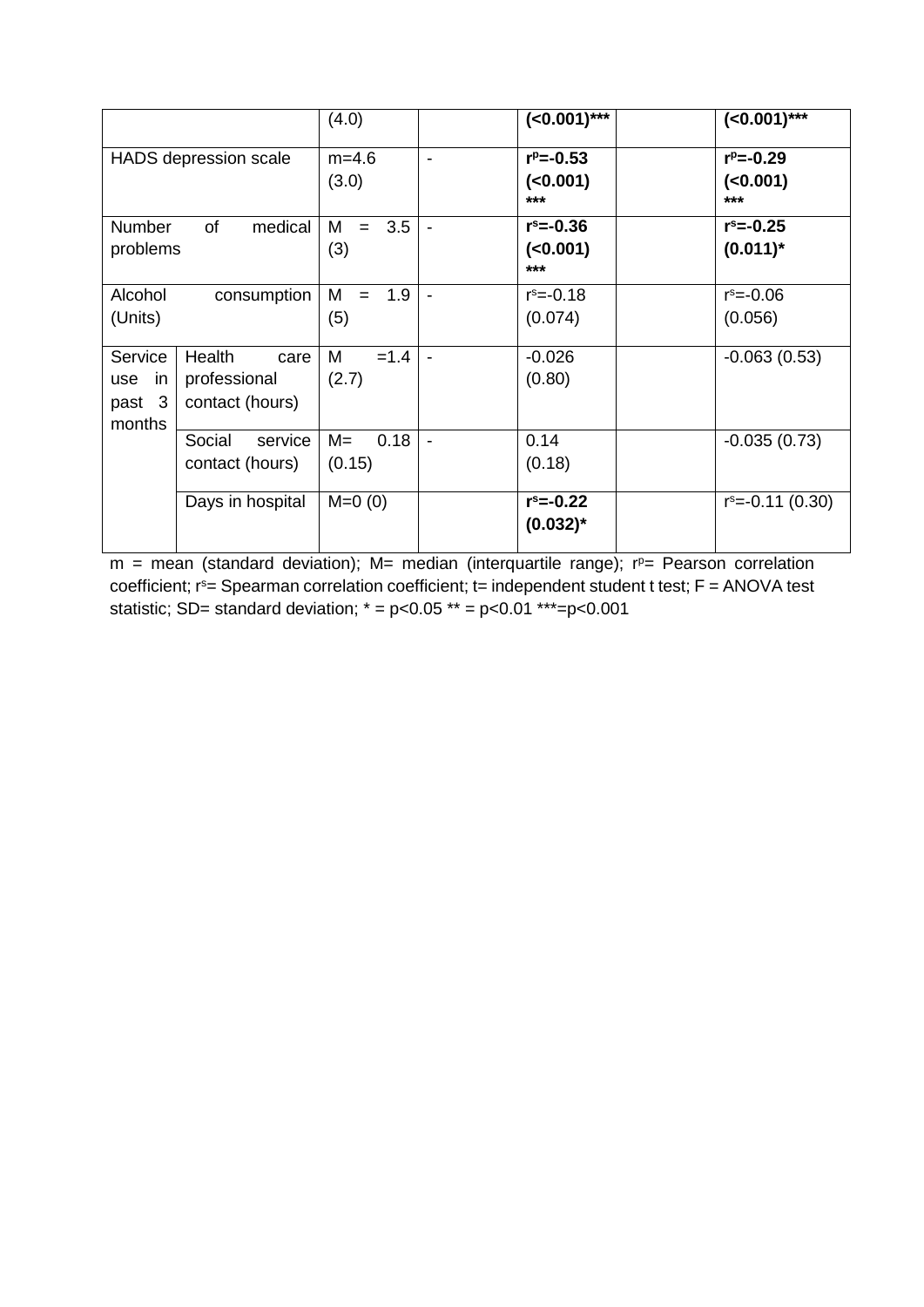|                                          |                                                   | (4.0)                   |                          | $(<0.001)$ ***                     | $(<0.001)$ ***                    |
|------------------------------------------|---------------------------------------------------|-------------------------|--------------------------|------------------------------------|-----------------------------------|
|                                          | <b>HADS</b> depression scale                      | $m=4.6$<br>(3.0)        | $\overline{\phantom{a}}$ | $r^p = -0.53$<br>( < 0.001)<br>*** | $r^p = -0.29$<br>$(0.001)$<br>*** |
| <b>Number</b><br>problems                | of<br>medical                                     | 3.5<br>М<br>$=$<br>(3)  |                          | $r^s = -0.36$<br>(<0.001)<br>$***$ | $r^s = -0.25$<br>$(0.011)^*$      |
| Alcohol<br>(Units)                       | consumption                                       | 1.9<br>M<br>$=$<br>(5)  |                          | $r^s = -0.18$<br>(0.074)           | $r^s = -0.06$<br>(0.056)          |
| Service<br>in<br>use<br>past 3<br>months | Health<br>care<br>professional<br>contact (hours) | $=1.4$<br>M<br>(2.7)    |                          | $-0.026$<br>(0.80)                 | $-0.063(0.53)$                    |
|                                          | Social<br>service<br>contact (hours)              | $M =$<br>0.18<br>(0.15) |                          | 0.14<br>(0.18)                     | $-0.035(0.73)$                    |
|                                          | Days in hospital                                  | $M=0(0)$                |                          | $r^s = -0.22$<br>$(0.032)^*$       | $r^s = -0.11(0.30)$               |

 $m =$  mean (standard deviation); M= median (interquartile range);  $r<sup>p</sup>=$  Pearson correlation coefficient; r<sup>s</sup>= Spearman correlation coefficient; t= independent student t test; F = ANOVA test statistic; SD= standard deviation;  $* = p < 0.05 ** = p < 0.01 ** = p < 0.001$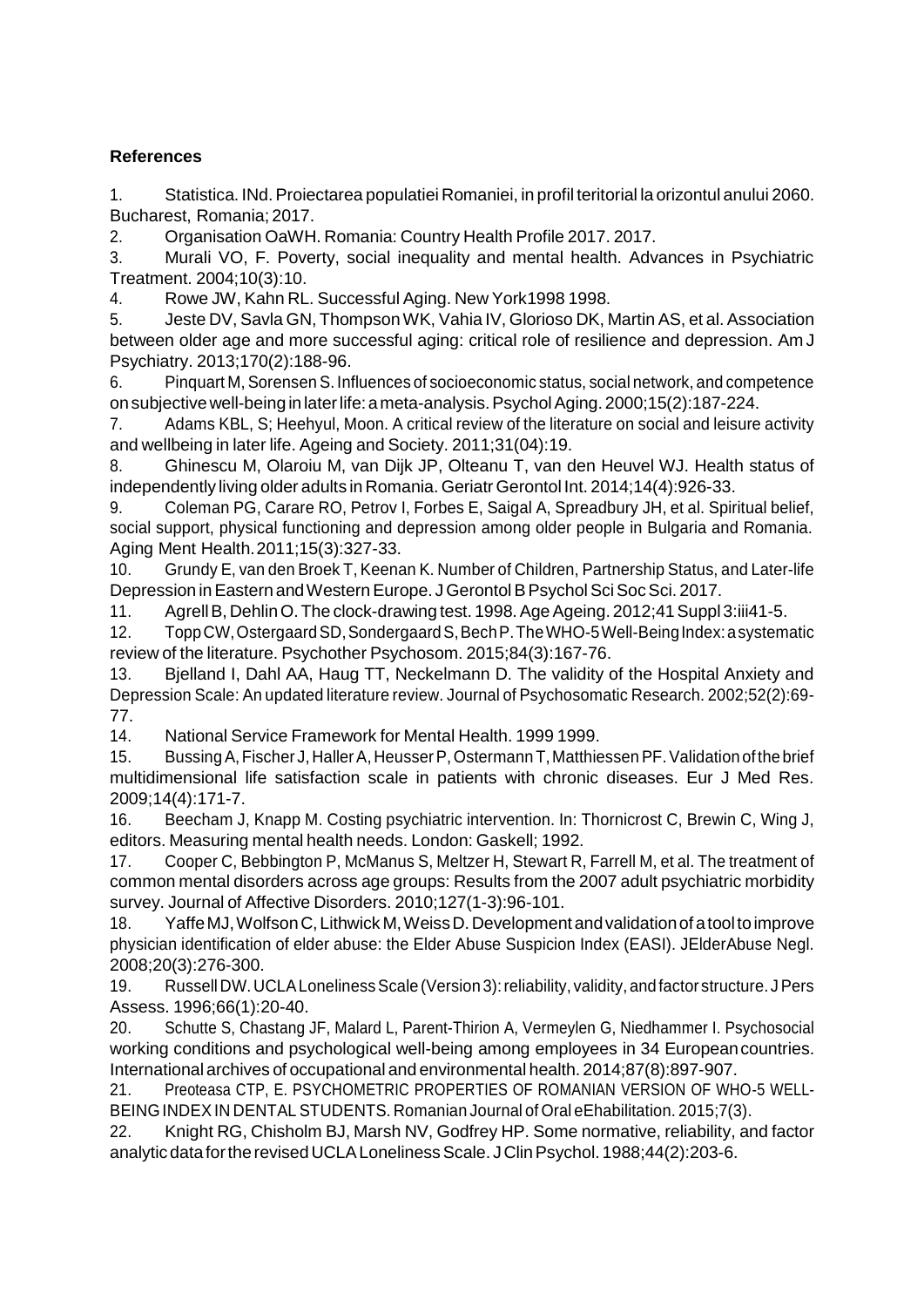## **References**

1. Statistica. INd.Proiectarea populatiei Romaniei, in profil teritorial la orizontul anului 2060. Bucharest, Romania; 2017.

2. Organisation OaWH. Romania: Country Health Profile 2017. 2017.

3. Murali VO, F. Poverty, social inequality and mental health. Advances in Psychiatric Treatment. 2004;10(3):10.

4. Rowe JW, Kahn RL. Successful Aging. New York1998 1998.

5. Jeste DV, Savla GN, ThompsonWK, Vahia IV, Glorioso DK, Martin AS, et al. Association between older age and more successful aging: critical role of resilience and depression. Am J Psychiatry. 2013;170(2):188-96.

6. Pinquart M, Sorensen S. Influences of socioeconomic status, social network, and competence on subjectivewell-being in laterlife:ameta-analysis.PsycholAging. 2000;15(2):187-224.

7. Adams KBL, S; Heehyul, Moon. A critical review of the literature on social and leisure activity and wellbeing in later life. Ageing and Society. 2011;31(04):19.

8. Ghinescu M, Olaroiu M, van Dijk JP, Olteanu T, van den Heuvel WJ. Health status of independently living older adults in Romania. Geriatr Gerontol Int. 2014;14(4):926-33.

9. Coleman PG, Carare RO, Petrov I, Forbes E, Saigal A, Spreadbury JH, et al. Spiritual belief, social support, physical functioning and depression among older people in Bulgaria and Romania. Aging Ment Health.2011;15(3):327-33.

10. Grundy E, van den Broek T, Keenan K. Number of Children, Partnership Status, and Later-life Depression in Eastern and Western Europe. J Gerontol B Psychol Sci Soc Sci. 2017.

11. Agrell B, Dehlin O. The clock-drawing test. 1998. Age Ageing. 2012;41 Suppl 3:iii41-5.

12. ToppCW,OstergaardSD,SondergaardS,BechP.TheWHO-5Well-BeingIndex:asystematic review of the literature. Psychother Psychosom. 2015;84(3):167-76.

13. Bjelland I, Dahl AA, Haug TT, Neckelmann D. The validity of the Hospital Anxiety and Depression Scale: An updated literature review. Journal of Psychosomatic Research. 2002;52(2):69- 77.

14. National Service Framework for Mental Health. 1999 1999.

15. Bussing A, Fischer J, Haller A, Heusser P, Ostermann T, Matthiessen PF. Validation of the brief multidimensional life satisfaction scale in patients with chronic diseases. Eur J Med Res. 2009;14(4):171-7.

16. Beecham J, Knapp M. Costing psychiatric intervention. In: Thornicrost C, Brewin C, Wing J, editors. Measuring mental health needs. London: Gaskell; 1992.

17. Cooper C, Bebbington P, McManus S, Meltzer H, Stewart R, Farrell M, et al. The treatment of common mental disorders across age groups: Results from the 2007 adult psychiatric morbidity survey. Journal of Affective Disorders. 2010;127(1-3):96-101.

18. YaffeMJ,WolfsonC,Lithwick M,WeissD.Developmentandvalidationof atooltoimprove physician identification of elder abuse: the Elder Abuse Suspicion Index (EASI). JElderAbuse Negl. 2008;20(3):276-300.

19. Russell DW. UCLA Loneliness Scale (Version 3): reliability, validity, and factor structure. J Pers Assess. 1996;66(1):20-40.

20. Schutte S, Chastang JF, Malard L, Parent-Thirion A, Vermeylen G, Niedhammer I. Psychosocial working conditions and psychological well-being among employees in 34 Europeancountries. International archives of occupational and environmental health. 2014;87(8):897-907.

21. Preoteasa CTP, E. PSYCHOMETRIC PROPERTIES OF ROMANIAN VERSION OF WHO-5 WELL-BEINGINDEXIN DENTAL STUDENTS. Romanian Journal of Oral eEhabilitation. 2015;7(3).

22. Knight RG, Chisholm BJ, Marsh NV, Godfrey HP. Some normative, reliability, and factor analytic data for the revised UCLA Loneliness Scale. J Clin Psychol. 1988;44(2):203-6.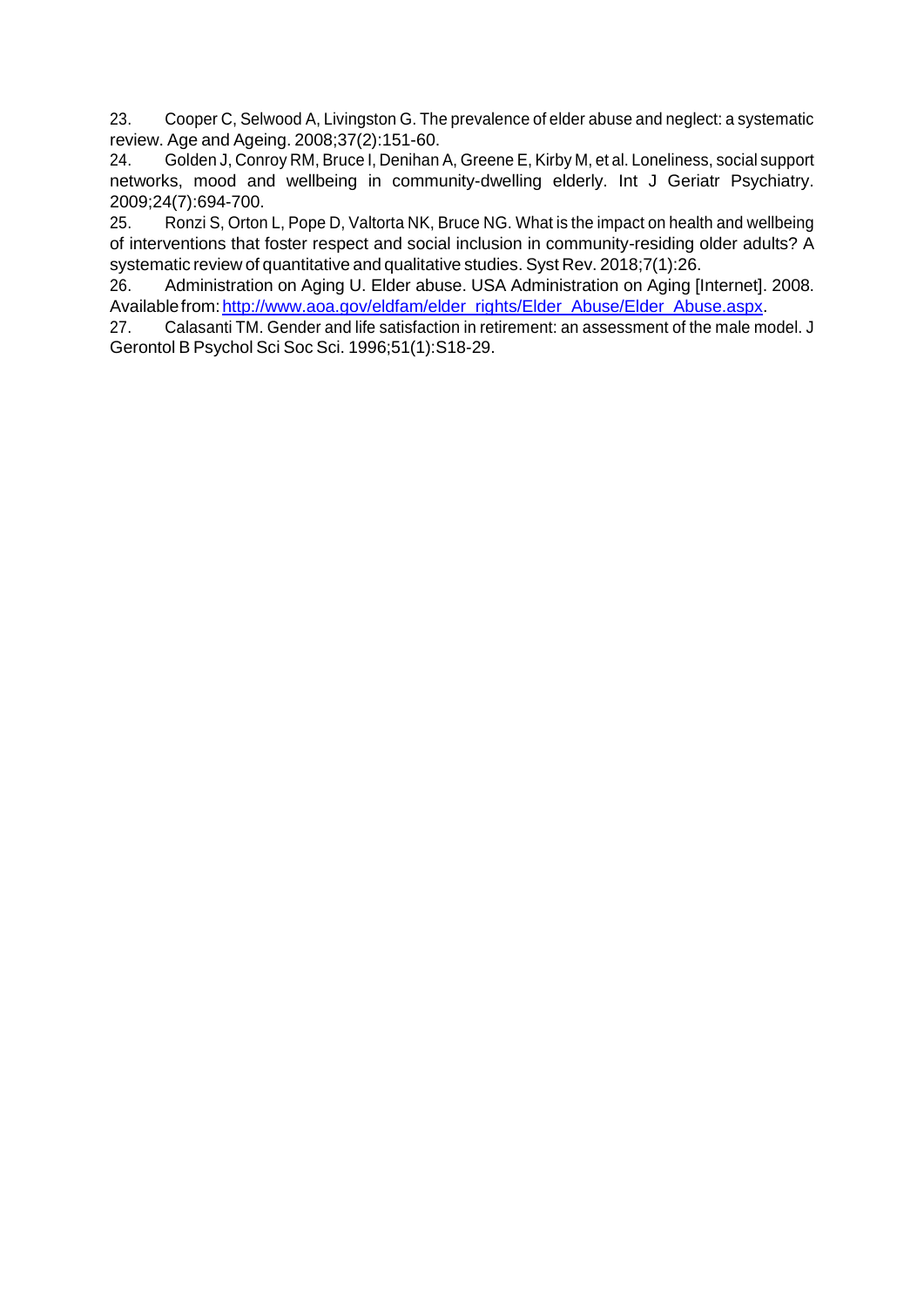23. Cooper C, Selwood A, Livingston G. The prevalence of elder abuse and neglect: a systematic review. Age and Ageing. 2008;37(2):151-60.

24. Golden J, Conroy RM, Bruce I, Denihan A, Greene E, Kirby M, et al. Loneliness, social support networks, mood and wellbeing in community-dwelling elderly. Int J Geriatr Psychiatry. 2009;24(7):694-700.

25. Ronzi S, Orton L, Pope D, Valtorta NK, Bruce NG. What is the impact on health and wellbeing of interventions that foster respect and social inclusion in community-residing older adults? A systematic review of quantitative and qualitative studies. Syst Rev. 2018;7(1):26.

26. Administration on Aging U. Elder abuse. USA Administration on Aging [Internet]. 2008. Availablefrom: http://www.aoa.gov/eldfam/elder\_rights/Elder\_Abuse/Elder\_Abuse.aspx.

27. Calasanti TM. Gender and life satisfaction in retirement: an assessment of the male model. J Gerontol B Psychol Sci Soc Sci. 1996;51(1):S18-29.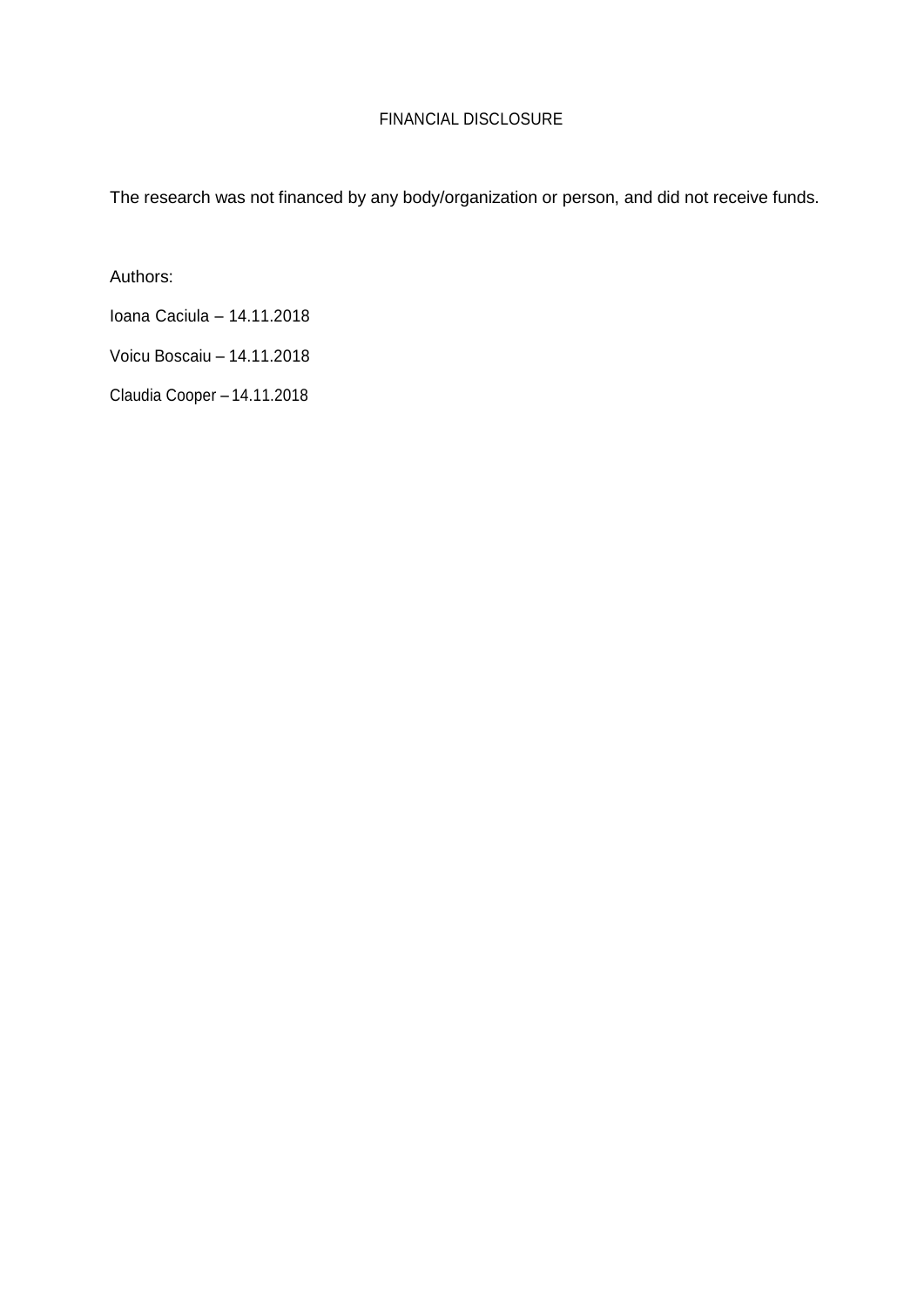## FINANCIAL DISCLOSURE

The research was not financed by any body/organization or person, and did not receive funds.

Authors:

Ioana Caciula – 14.11.2018

Voicu Boscaiu – 14.11.2018

Claudia Cooper – 14.11.2018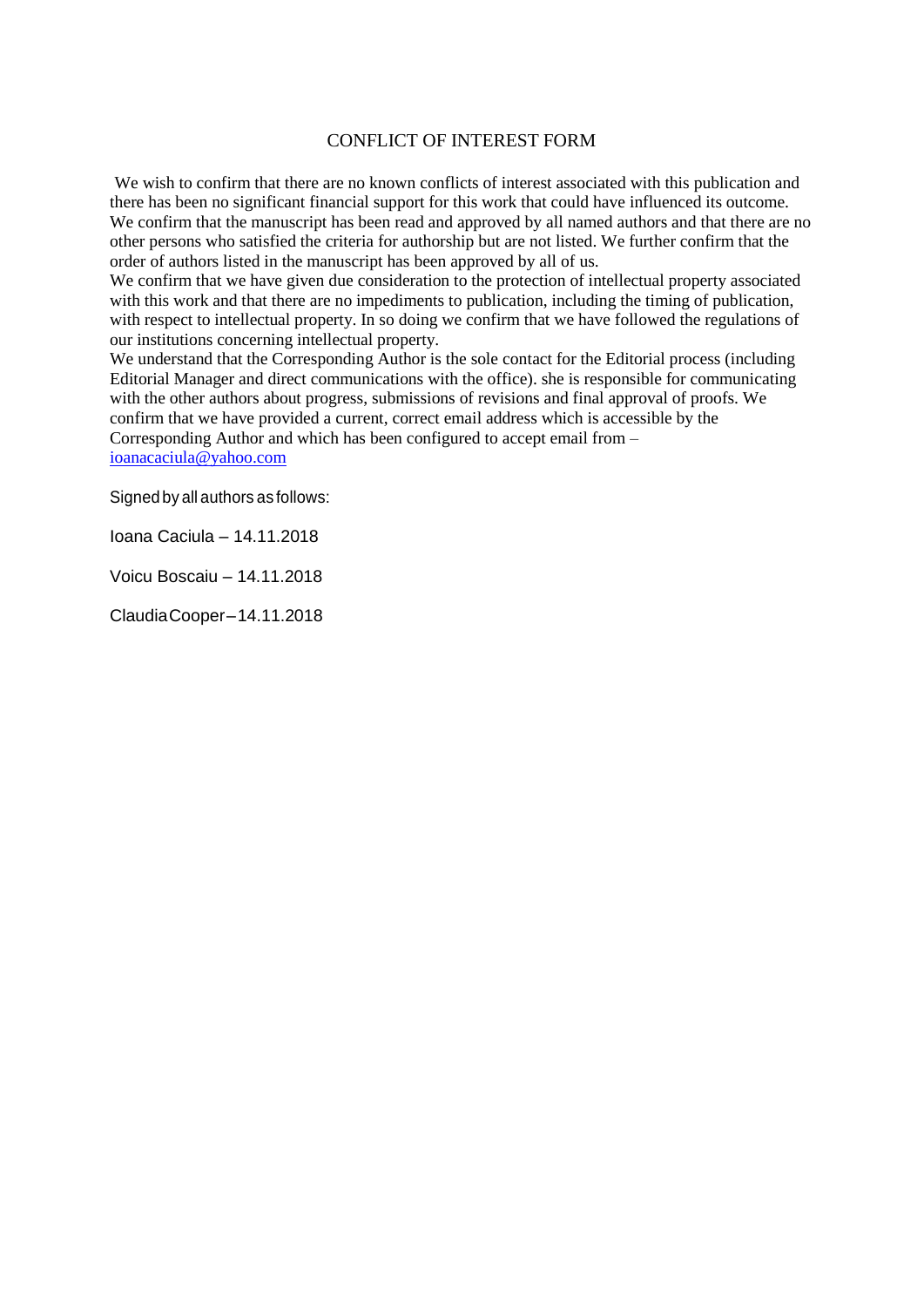#### CONFLICT OF INTEREST FORM

We wish to confirm that there are no known conflicts of interest associated with this publication and there has been no significant financial support for this work that could have influenced its outcome. We confirm that the manuscript has been read and approved by all named authors and that there are no other persons who satisfied the criteria for authorship but are not listed. We further confirm that the order of authors listed in the manuscript has been approved by all of us.

We confirm that we have given due consideration to the protection of intellectual property associated with this work and that there are no impediments to publication, including the timing of publication, with respect to intellectual property. In so doing we confirm that we have followed the regulations of our institutions concerning intellectual property.

We understand that the Corresponding Author is the sole contact for the Editorial process (including Editorial Manager and direct communications with the office). she is responsible for communicating with the other authors about progress, submissions of revisions and final approval of proofs. We confirm that we have provided a current, correct email address which is accessible by the Corresponding Author and which has been configured to accept email from – [ioanacaciula@yahoo.com](mailto:ioanacaciula@yahoo.com)

Signed by all authors as follows:

Ioana Caciula – 14.11.2018

Voicu Boscaiu – 14.11.2018

ClaudiaCooper–14.11.2018